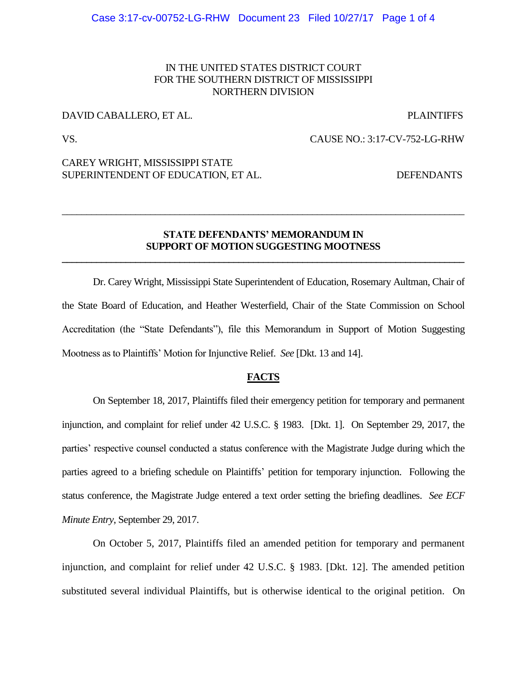## IN THE UNITED STATES DISTRICT COURT FOR THE SOUTHERN DISTRICT OF MISSISSIPPI NORTHERN DIVISION

## DAVID CABALLERO, ET AL. PLAINTIFFS

VS. CAUSE NO.: 3:17-CV-752-LG-RHW

## CAREY WRIGHT, MISSISSIPPI STATE SUPERINTENDENT OF EDUCATION, ET AL. DEFENDANTS

## **STATE DEFENDANTS' MEMORANDUM IN SUPPORT OF MOTION SUGGESTING MOOTNESS \_\_\_\_\_\_\_\_\_\_\_\_\_\_\_\_\_\_\_\_\_\_\_\_\_\_\_\_\_\_\_\_\_\_\_\_\_\_\_\_\_\_\_\_\_\_\_\_\_\_\_\_\_\_\_\_\_\_\_\_\_\_\_\_\_\_\_\_\_\_\_\_\_\_\_\_\_\_\_\_\_\_**

\_\_\_\_\_\_\_\_\_\_\_\_\_\_\_\_\_\_\_\_\_\_\_\_\_\_\_\_\_\_\_\_\_\_\_\_\_\_\_\_\_\_\_\_\_\_\_\_\_\_\_\_\_\_\_\_\_\_\_\_\_\_\_\_\_\_\_\_\_\_\_\_\_\_\_\_\_\_\_\_\_\_

Dr. Carey Wright, Mississippi State Superintendent of Education, Rosemary Aultman, Chair of the State Board of Education, and Heather Westerfield, Chair of the State Commission on School Accreditation (the "State Defendants"), file this Memorandum in Support of Motion Suggesting Mootness as to Plaintiffs' Motion for Injunctive Relief. *See* [Dkt. 13 and 14].

### **FACTS**

On September 18, 2017, Plaintiffs filed their emergency petition for temporary and permanent injunction, and complaint for relief under 42 U.S.C. § 1983. [Dkt. 1]. On September 29, 2017, the parties' respective counsel conducted a status conference with the Magistrate Judge during which the parties agreed to a briefing schedule on Plaintiffs' petition for temporary injunction. Following the status conference, the Magistrate Judge entered a text order setting the briefing deadlines. *See ECF Minute Entry*, September 29, 2017.

On October 5, 2017, Plaintiffs filed an amended petition for temporary and permanent injunction, and complaint for relief under 42 U.S.C. § 1983. [Dkt. 12]. The amended petition substituted several individual Plaintiffs, but is otherwise identical to the original petition. On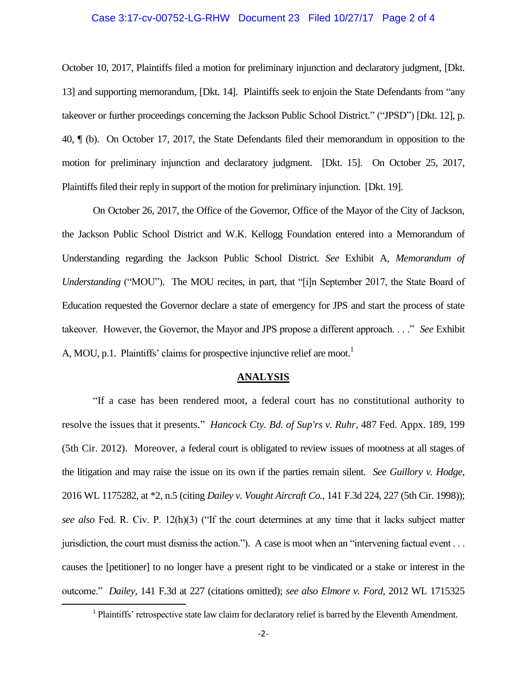### Case 3:17-cv-00752-LG-RHW Document 23 Filed 10/27/17 Page 2 of 4

October 10, 2017, Plaintiffs filed a motion for preliminary injunction and declaratory judgment, [Dkt. 13] and supporting memorandum, [Dkt. 14]. Plaintiffs seek to enjoin the State Defendants from "any takeover or further proceedings concerning the Jackson Public School District." ("JPSD") [Dkt. 12], p. 40, ¶ (b). On October 17, 2017, the State Defendants filed their memorandum in opposition to the motion for preliminary injunction and declaratory judgment. [Dkt. 15]. On October 25, 2017, Plaintiffs filed their reply in support of the motion for preliminary injunction. [Dkt. 19].

On October 26, 2017, the Office of the Governor, Office of the Mayor of the City of Jackson, the Jackson Public School District and W.K. Kellogg Foundation entered into a Memorandum of Understanding regarding the Jackson Public School District. *See* Exhibit A*, Memorandum of Understanding* ("MOU"). The MOU recites, in part, that "[i]n September 2017, the State Board of Education requested the Governor declare a state of emergency for JPS and start the process of state takeover. However, the Governor, the Mayor and JPS propose a different approach. . . ." *See* Exhibit A, MOU, p.1. Plaintiffs' claims for prospective injunctive relief are moot.<sup>1</sup>

#### **ANALYSIS**

"If a case has been rendered moot, a federal court has no constitutional authority to resolve the issues that it presents." *Hancock Cty. Bd. of Sup'rs v. Ruhr*, 487 Fed. Appx. 189, 199 (5th Cir. 2012). Moreover, a federal court is obligated to review issues of mootness at all stages of the litigation and may raise the issue on its own if the parties remain silent. *See Guillory v. Hodge*, 2016 WL 1175282, at \*2, n.5 (citing *Dailey v. Vought Aircraft Co.*, 141 F.3d 224, 227 (5th Cir. 1998)); *see also* Fed. R. Civ. P. 12(h)(3) ("If the court determines at any time that it lacks subject matter jurisdiction, the court must dismiss the action."). A case is moot when an "intervening factual event . . . causes the [petitioner] to no longer have a present right to be vindicated or a stake or interest in the outcome." *Dailey,* 141 F.3d at 227 (citations omitted); *see also Elmore v. Ford*, 2012 WL 1715325

 $\overline{\phantom{a}}$ 

<sup>&</sup>lt;sup>1</sup> Plaintiffs' retrospective state law claim for declaratory relief is barred by the Eleventh Amendment.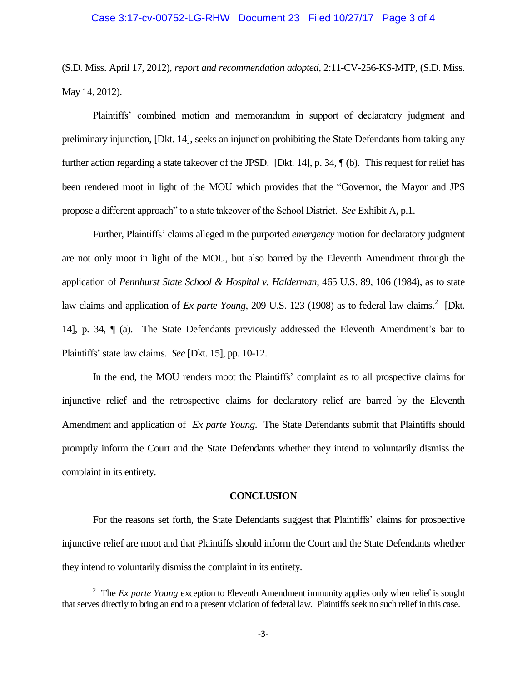### Case 3:17-cv-00752-LG-RHW Document 23 Filed 10/27/17 Page 3 of 4

(S.D. Miss. April 17, 2012), *report and recommendation adopted*, 2:11-CV-256-KS-MTP, (S.D. Miss. May 14, 2012).

Plaintiffs' combined motion and memorandum in support of declaratory judgment and preliminary injunction, [Dkt. 14], seeks an injunction prohibiting the State Defendants from taking any further action regarding a state takeover of the JPSD. [Dkt. 14], p. 34, ¶ (b). This request for relief has been rendered moot in light of the MOU which provides that the "Governor, the Mayor and JPS propose a different approach" to a state takeover of the School District. *See* Exhibit A, p.1.

Further, Plaintiffs' claims alleged in the purported *emergency* motion for declaratory judgment are not only moot in light of the MOU, but also barred by the Eleventh Amendment through the application of *Pennhurst State School & Hospital v. Halderman*, 465 U.S. 89, 106 (1984), as to state law claims and application of *Ex parte Young*, 209 U.S. 123 (1908) as to federal law claims.<sup>2</sup> [Dkt. 14], p. 34, ¶ (a). The State Defendants previously addressed the Eleventh Amendment's bar to Plaintiffs' state law claims. *See* [Dkt. 15], pp. 10-12.

In the end, the MOU renders moot the Plaintiffs' complaint as to all prospective claims for injunctive relief and the retrospective claims for declaratory relief are barred by the Eleventh Amendment and application of *Ex parte Young*. The State Defendants submit that Plaintiffs should promptly inform the Court and the State Defendants whether they intend to voluntarily dismiss the complaint in its entirety.

#### **CONCLUSION**

For the reasons set forth, the State Defendants suggest that Plaintiffs' claims for prospective injunctive relief are moot and that Plaintiffs should inform the Court and the State Defendants whether they intend to voluntarily dismiss the complaint in its entirety.

 $\overline{\phantom{a}}$ 

<sup>&</sup>lt;sup>2</sup> The *Ex parte Young* exception to Eleventh Amendment immunity applies only when relief is sought that serves directly to bring an end to a present violation of federal law. Plaintiffs seek no such relief in this case.